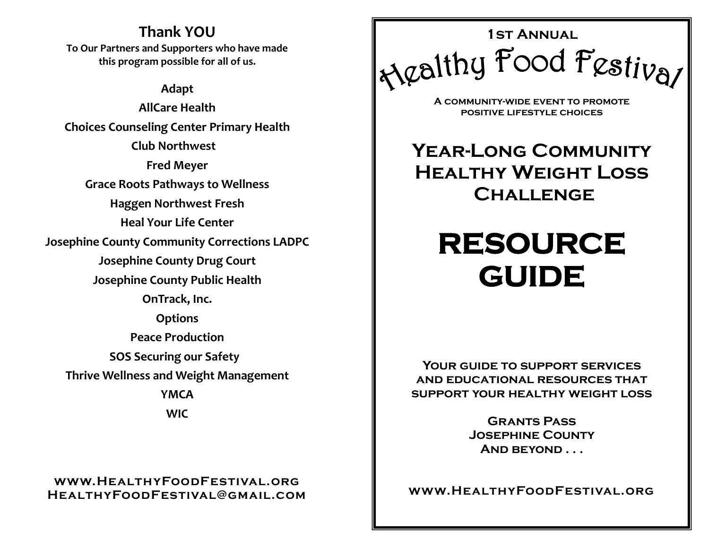### **Thank YOU**

**To Our Partners and Supporters who have made this program possible for all of us.**

**Adapt** 

**AllCare Health Choices Counseling Center Primary Health Club Northwest Fred Meyer Grace Roots Pathways to Wellness Haggen Northwest Fresh Heal Your Life Center Josephine County Community Corrections LADPC Josephine County Drug Court Josephine County Public Health OnTrack, Inc. Options Peace Production SOS Securing our Safety Thrive Wellness and Weight Management YMCA WIC**

### **www.HealthyFoodFestival.org HealthyFoodFestival@gmail.com**



**A community-wide event to promote positive lifestyle choices**

**Year-Long Community HEALTHY WEIGHT LOSS Challenge**

# **RESOURCE GUIDE**

**Your guide to support services and educational resources that support your healthy weight loss** 

> **Grants Pass Josephine County And beyond . . .**

**www.HealthyFoodFestival.org**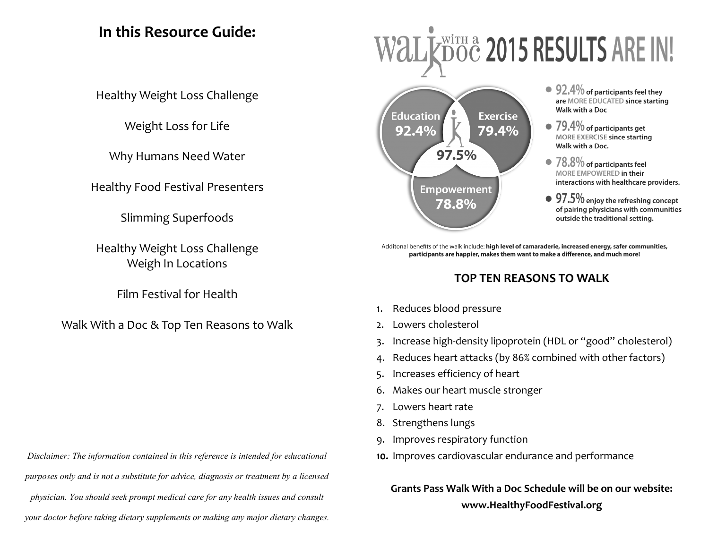### **In this Resource Guide:**

Healthy Weight Loss Challenge

Weight Loss for Life

Why Humans Need Water

Healthy Food Festival Presenters

Slimming Superfoods

Healthy Weight Loss Challenge Weigh In Locations

Film Festival for Health

Walk With a Doc & Top Ten Reasons to Walk

*Disclaimer: The information contained in this reference is intended for educational purposes only and is not a substitute for advice, diagnosis or treatment by a licensed physician. You should seek prompt medical care for any health issues and consult your doctor before taking dietary supplements or making any major dietary changes.*

# WİTH & 2015 RESULTS ARE IN!



- $\bullet$  92.4% of participants feel they are MORE EDUCATED since starting Walk with a Doc
- $79.4\%$  of participants get **MORE EXERCISE since starting** Walk with a Doc.
- 78.8% of participants feel MORE EMPOWERED in their interactions with healthcare providers.
- $97.5\%$  enjoy the refreshing concept of pairing physicians with communities outside the traditional setting.

Additonal benefits of the walk include: high level of camaraderie, increased energy, safer communities, participants are happier, makes them want to make a difference, and much more!

### **TOP TEN REASONS TO WALK**

- 1. [Reduces blood pressure](http://r20.rs6.net/tn.jsp?f=001o4Wuo-0FQHiOjJ-ymfR6tT32RkxsAjY49iNyMJU0KijSRwz8xLPy5JdSGkipTcuoSdguKhvo6d2qFuzPOODTL9-ZXMWWHpsObyTE55Q0k1WV6w8NCfGysL6vJTl5DChlrM0tI9f6nAYd2fLIxedWKQzCr3L2s4sIEvbf0X_w4dEDnjhCQ4mjxzJXzebQq_FVCx0TZJF6mMH54_lA_5AAgSq-DlBDp8evJoNh)
- 2. [Lowers cholesterol](http://r20.rs6.net/tn.jsp?f=001o4Wuo-0FQHiOjJ-ymfR6tT32RkxsAjY49iNyMJU0KijSRwz8xLPy5JdSGkipTcuomUrCMbCQA9lTzRf4ETsIFEXPwzI0vJHpZsEt2kOmv2tDEpVXUl6p8sHU77XwCVmvjJENF6_vr51ioL4013ZPOUoaEUNy8D1PqWFAvxCPqqyePecjHWliaINyyFrhTFxhz3gu-pIIeordMP0GPT5aZjNnmdJ7QR2eD4pd)
- 3. Increase high-[density lipoprotein \(HDL or "good" cholesterol\)](http://r20.rs6.net/tn.jsp?f=001o4Wuo-0FQHiOjJ-ymfR6tT32RkxsAjY49iNyMJU0KijSRwz8xLPy5JdSGkipTcuovHydD2Bh63eSQehK8YQdI0ASAs-KG90Po8uh1EkkofWKYVE4R-JIgyQghHFu7TB0n8PzcrrJH7GK719JI7PP6xQGeeMtHQRDm3DqT3yO75BhpUCRLC_Ghvo-EmUBaMavgpjWAWFnpA5lKeSjHhhIxBNJ2nqF3aYSm1O1)
- 4. [Reduces heart attacks \(by 86% combined with other factors\)](http://r20.rs6.net/tn.jsp?f=001o4Wuo-0FQHiOjJ-ymfR6tT32RkxsAjY49iNyMJU0KijSRwz8xLPy5JdSGkipTcuovhQw4oHGRDUMUB5E36sFcs7jwvLRFxwtgZiY0FZsT_YBoQBt10enLPxWZZfykdGNBvxm-wvgBHmEVdVl13Rg9eosIKBVnC2JxLjL6HY8ZDPYwO3L1My45_cgihizDayZmDAJ3qfiTJGHn6nYD-3yFzjzSwreNLROTcm3)
- 5. I[ncreases efficiency of heart](http://r20.rs6.net/tn.jsp?f=001o4Wuo-0FQHiOjJ-ymfR6tT32RkxsAjY49iNyMJU0KijSRwz8xLPy5JdSGkipTcuoG4rz6jy7NXoGEAG5B7nrjHhutnIrPzibaHMd3Lwm7AfXQ0Ps_ZMOHTBjvBWiYDfDSqSjHKMrztjNOfCs_Uzej6H978iBWB6vIEL_5vNsZLW_Boj_7PoIvX3VRxjOlXKXVjtteIUPJNE4E3ZquMwrqS0fHcBqmBd50OT-)
- 6. [Makes our heart muscle stronger](http://r20.rs6.net/tn.jsp?f=001o4Wuo-0FQHiOjJ-ymfR6tT32RkxsAjY49iNyMJU0KijSRwz8xLPy5JdSGkipTcuo9411d0dYQ4rhG9v2qjXribU7tccoHBSvFDPO1WUHax7MpuSUbuylsu-2_8i0u9w5N4c4urrFmI_0WarEjuN91h0K2IX5ZNcnuBQDIvQ_eLFuUJYRCSfgogxO9qPvjPqDD1VqUN5t1uYTDVX7T72ugytpRX_lHHtlTE-G)
- 7. [Lowers heart rate](http://r20.rs6.net/tn.jsp?f=001o4Wuo-0FQHiOjJ-ymfR6tT32RkxsAjY49iNyMJU0KijSRwz8xLPy5JdSGkipTcuoGEYiQ2b9ThtXQChqWTp0WxqzjhS6YzhVj2dkVpUS0lbyoCaivnkR_ZY_xNU6h5Qs6PZ_jC0DuLbYrrL-tN659vavZTjuTNUcJLt-VHuNQBaSydnufMnmA-ZAh6Qa54lGiAqEGr4SFWPscNmRjrycWALgQnKSy-03b8Gb)
- 8. [Strengthens lungs](http://r20.rs6.net/tn.jsp?f=001o4Wuo-0FQHiOjJ-ymfR6tT32RkxsAjY49iNyMJU0KijSRwz8xLPy5JdSGkipTcuoyCNy0PYbpc9ribWW6QW9r4byiGvhOpwfZYYoM0BSPD-y5ssBhbjtRLNSyRp4S9Vc5_5Mdy4GBqkWxgHQkdNR_kavlNjYRA1d9YDJsDtHpAhlfJK4czoYa37VAVDIwMLR6b4krl7Il9Jm2CoLfxnGRQ==&c=_RcGnDGOC)
- 9. [Improves respiratory function](http://r20.rs6.net/tn.jsp?f=001o4Wuo-0FQHiOjJ-ymfR6tT32RkxsAjY49iNyMJU0KijSRwz8xLPy5JdSGkipTcuoxHRAa0tTMbfl_YZpmlj_gUm1OC2jMmoHFnLPmhlv_Q5UpSfNp28AwleO7Db6X51k3uMOflYzHYcvyl4xIWWfoJdeFg24Q4f4VdbLf02ntnS45IDtUUzs87qdtTU3MJXJgn7tpti_6Ry7BZ7BXhJHVgOFitI59bG-Zftv)
- **10.** [Improves cardiovascular endurance and performance](http://r20.rs6.net/tn.jsp?f=001o4Wuo-0FQHiOjJ-ymfR6tT32RkxsAjY49iNyMJU0KijSRwz8xLPy5JdSGkipTcuoWNO_Q62O0gQ0zQRPCnb84uEMnZYtBYgo-6VV5FBTtQoircLJY-QBaSnbZLAfMElM5RAJBH3YG_rybCs69R8_n6aObNnohFikOslQLdPeKLVRiAmnT--tltvN3dxLMzeaWj02qtII_-ExjdbOLPRXBToSBZWGWiUbycaf)

**Grants Pass Walk With a Doc Schedule will be on our website: www.HealthyFoodFestival.org**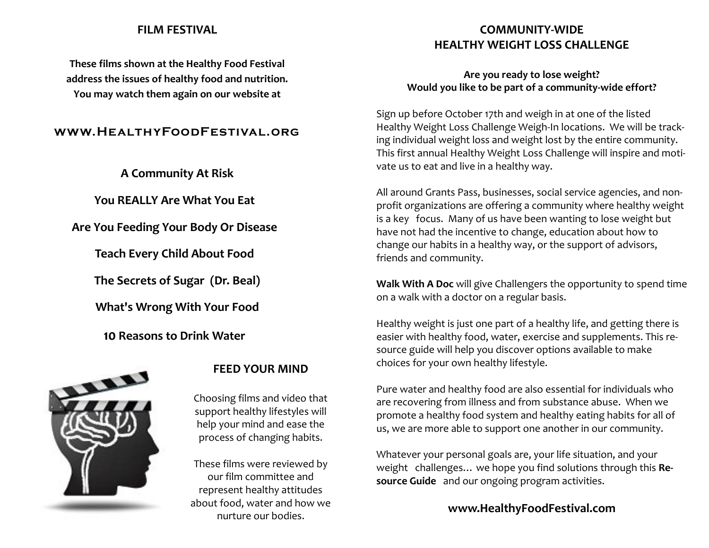### **FILM FESTIVAL**

**These films shown at the Healthy Food Festival address the issues of healthy food and nutrition. You may watch them again on our website at**

### **www.HealthyFoodFestival.org**

**A Community At Risk** 

**You REALLY Are What You Eat** 

**Are You Feeding Your Body Or Disease** 

**Teach Every Child About Food** 

**The Secrets of Sugar (Dr. Beal)**

**What's Wrong With Your Food** 

**10 Reasons to Drink Water** 



### **FEED YOUR MIND**

Choosing films and video that support healthy lifestyles will help your mind and ease the process of changing habits.

These films were reviewed by our film committee and represent healthy attitudes about food, water and how we nurture our bodies.

### **COMMUNITY-WIDE HEALTHY WEIGHT LOSS CHALLENGE**

### **Are you ready to lose weight? Would you like to be part of a community-wide effort?**

Sign up before October 17th and weigh in at one of the listed Healthy Weight Loss Challenge Weigh-In locations. We will be tracking individual weight loss and weight lost by the entire community. This first annual Healthy Weight Loss Challenge will inspire and motivate us to eat and live in a healthy way.

All around Grants Pass, businesses, social service agencies, and nonprofit organizations are offering a community where healthy weight is a key focus. Many of us have been wanting to lose weight but have not had the incentive to change, education about how to change our habits in a healthy way, or the support of advisors, friends and community.

**Walk With A Doc** will give Challengers the opportunity to spend time on a walk with a doctor on a regular basis.

Healthy weight is just one part of a healthy life, and getting there is easier with healthy food, water, exercise and supplements. This resource guide will help you discover options available to make choices for your own healthy lifestyle.

Pure water and healthy food are also essential for individuals who are recovering from illness and from substance abuse. When we promote a healthy food system and healthy eating habits for all of us, we are more able to support one another in our community.

Whatever your personal goals are, your life situation, and your weight challenges… we hope you find solutions through this **Resource Guide** and our ongoing program activities.

### **www.HealthyFoodFestival.com**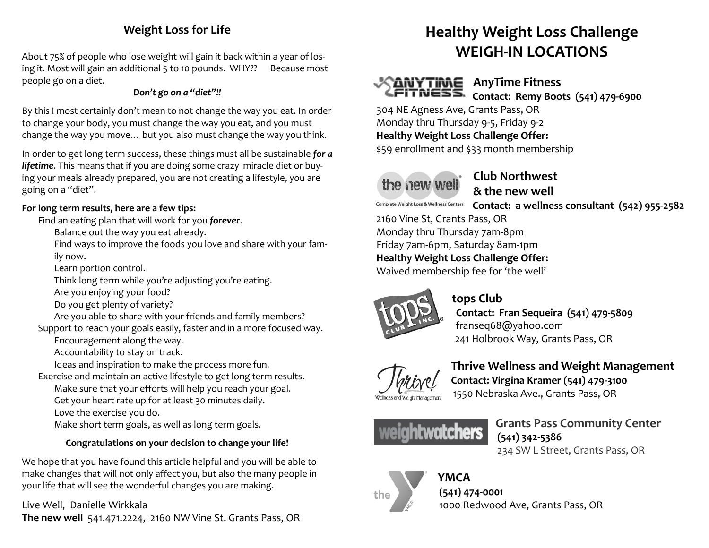### **Weight Loss for Life**

About 75% of people who lose weight will gain it back within a year of losing it. Most will gain an additional 5 to 10 pounds. WHY?? Because most people go on a diet.

### *Don't go on a "diet"!!*

By this I most certainly don't mean to not change the way you eat. In order to change your body, you must change the way you eat, and you must change the way you move… but you also must change the way you think.

In order to get long term success, these things must all be sustainable *for a lifetime*. This means that if you are doing some crazy miracle diet or buying your meals already prepared, you are not creating a lifestyle, you are going on a "diet".

### **For long term results, here are a few tips:**

Find an eating plan that will work for you *forever*.

Balance out the way you eat already.

Find ways to improve the foods you love and share with your family now.

Learn portion control.

Think long term while you're adjusting you're eating.

Are you enjoying your food?

Do you get plenty of variety?

Are you able to share with your friends and family members?

Support to reach your goals easily, faster and in a more focused way.

Encouragement along the way.

Accountability to stay on track.

Ideas and inspiration to make the process more fun.

Exercise and maintain an active lifestyle to get long term results. Make sure that your efforts will help you reach your goal.

Get your heart rate up for at least 30 minutes daily.

Love the exercise you do.

Make short term goals, as well as long term goals.

### **Congratulations on your decision to change your life!**

We hope that you have found this article helpful and you will be able to make changes that will not only affect you, but also the many people in your life that will see the wonderful changes you are making.

Live Well, Danielle Wirkkala **The new well** 541.471.2224, 2160 NW Vine St. Grants Pass, OR

### **Healthy Weight Loss Challenge WEIGH-IN LOCATIONS**



### **AnyTime Fitness**

 **Contact: Remy Boots [\(541\) 479-6900](javascript:void(0))**

304 NE Agness Ave, Grants Pass, OR Monday thru Thursday 9-5, Friday 9-2 **Healthy Weight Loss Challenge Offer:** \$59 enrollment and \$33 month membership

the new well

**Complete Weight Loss & Wellness Centers** 

 **Club Northwest & the new well**

 **Contact: a wellness consultant (542) 955-2582**

2160 Vine St, Grants Pass, OR Monday thru Thursday 7am-8pm Friday 7am-6pm, Saturday 8am-1pm **Healthy Weight Loss Challenge Offer:** Waived membership fee for 'the well'



### **tops Club**

 **Contact: Fran Sequeira [\(541\) 479-5809](tel:%28541%29%20479-5809)** [franseq68@yahoo.com](mailto:franseq68@yahoo.com) 241 Holbrook Way, Grants Pass, OR



### **Thrive Wellness and Weight Management Contact: Virgina Kramer (541) 479-3100**  1550 Nebraska Ave., Grants Pass, OR

 **Grants Pass Community Center (541) 342-5386** 234 SW L Street, Grants Pass, OR



### **YMCA**

**[\(541\) 474-0001](javascript:void(0))**

1000 Redwood Ave, Grants Pass, OR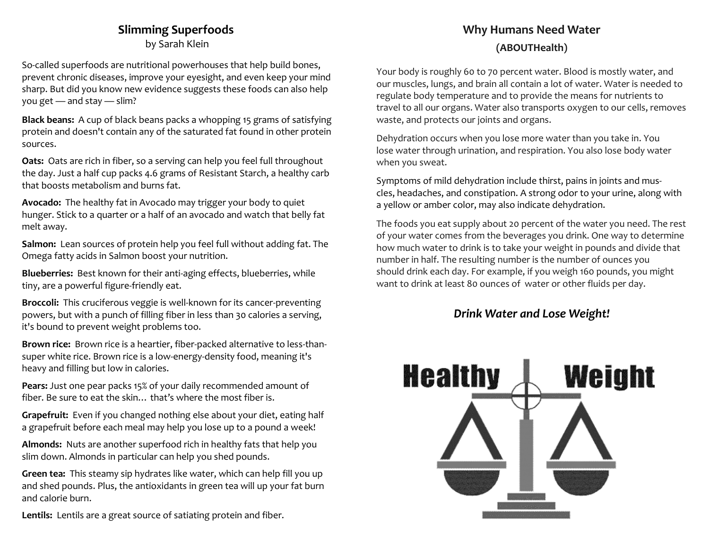### **Slimming Superfoods**

by Sarah Klein

So-called superfoods are nutritional powerhouses that help build bones, prevent chronic diseases, improve your eyesight, and even keep your mind sharp. But did you know new evidence suggests these foods can also help you get — and stay — slim?

**Black beans:** A cup of black beans packs a whopping 15 grams of satisfying protein and doesn't contain any of the saturated fat found in other protein sources.

**Oats:** Oats are rich in fiber, so a serving can help you feel full throughout the day. Just a half cup packs 4.6 grams of [Resistant Starch,](http://www.health.com/health/article/0,,20409809,00.html) a healthy carb that boosts metabolism and burns fat.

**Avocado:** The healthy fat in Avocado may trigger your body to quiet hunger. Stick to a quarter or a half of an avocado and watch that belly fat melt away.

**Salmon:** Lean sources of protein help you feel full without adding fat. The Omega fatty acids in Salmon boost your nutrition.

**Blueberries:** Best known for their anti-aging effects, blueberries, while tiny, are a powerful figure-friendly eat.

**Broccoli:** This cruciferous veggie is well-known for its cancer-preventing powers, but with a punch of filling fiber in less than 30 calories a serving, it's bound to prevent weight problems too.

**Brown rice:** Brown rice is a heartier, fiber-packed alternative to less-thansuper white rice. Brown rice is a low-energy-density food, meaning it's heavy and filling but low in calories.

**Pears:** Just one pear packs 15% of your daily recommended amount of fiber. Be sure to eat the skin… that's where the most fiber is.

**Grapefruit:** Even if you changed nothing else about your diet, eating half a grapefruit before each meal may help you lose up to a pound a week!

**Almonds:** Nuts are another superfood rich in healthy fats that help you slim down. Almonds in particular can help you shed pounds.

**Green tea:** This steamy sip hydrates like water, which can help fill you up and shed pounds. Plus, the antioxidants in green tea will up your fat burn and calorie burn.

**Lentils:** Lentils are a great source of satiating protein and fiber.

### **Why Humans Need Water (ABOUTHealth)**

Your body is roughly 60 to 70 percent water. Blood is mostly water, and our muscles, lungs, and brain all contain a lot of water. Water is needed to regulate body temperature and to provide the means for nutrients to travel to all our organs. Water also transports oxygen to our cells, removes waste, and protects our joints and organs.

Dehydration occurs when you lose more water than you take in. You lose water through urination, and respiration. You also lose body water when you sweat.

Symptoms of mild dehydration include thirst, pains in joints and muscles, headaches, and constipation. A strong odor to your urine, along with a yellow or amber color, may also indicate dehydration.

The foods you eat supply about 20 percent of the water you need. The rest of your water comes from the beverages you drink. One way to determine how much water to drink is to take your weight in pounds and divide that number in half. The resulting number is the number of ounces you should drink each day. For example, if you weigh 160 pounds, you might want to drink at least 80 ounces of water or other fluids per day.

### *Drink Water and Lose Weight!*